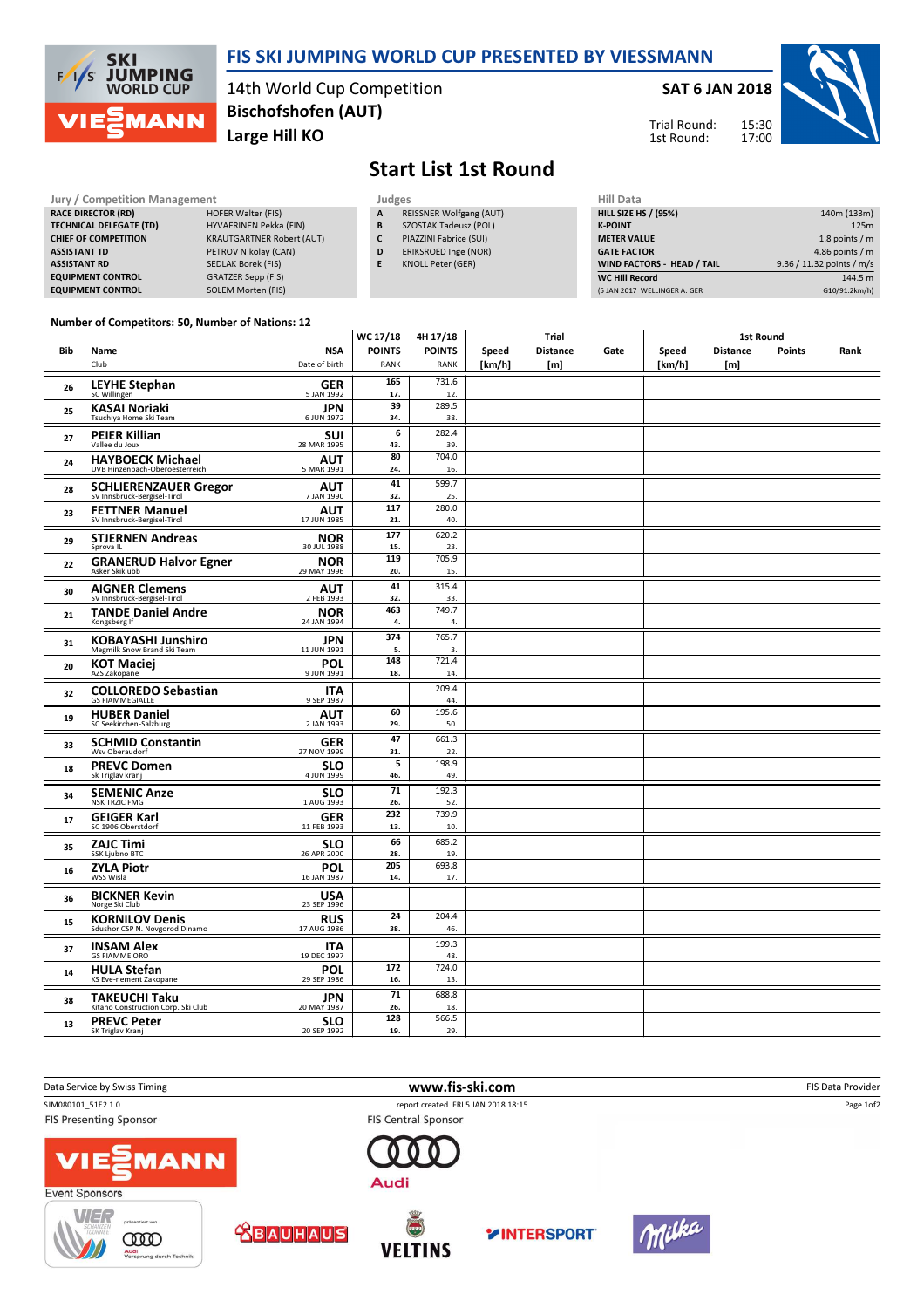

### FIS SKI JUMPING WORLD CUP PRESENTED BY VIESSMANN

14th World Cup Competition Large Hill KO Bischofshofen (AUT)

### SAT 6 JAN 2018





# Start List 1st Round

#### Jury / Competition Management Judges<br>
RACE DIRECTOR (RD) HOFER Walter (FIS) A RE RACE DIRECTOR (RD) TECHNICAL DELEGATE (TD) HYVAERINEN Pekka (FIN) CHIEF OF COMPETITION KRAUTGARTNER Robert (AUT) ASSISTANT TD PETROV Nikolay (CAN) ASSISTANT RD SEDLAK Borek (FIS) EQUIPMENT CONTROL GRATZER Sepp (FIS) EQUIPMENT CONTROL SOLEM Morten (FIS)

- REISSNER Wolfgang (AUT) B SZOSTAK Tadeusz (POL)
- C PIAZZINI Fabrice (SUI)
- D ERIKSROED Inge (NOR)
- E KNOLL Peter (GER)

| Hill Data                    |                           |
|------------------------------|---------------------------|
| <b>HILL SIZE HS / (95%)</b>  | 140m (133m)               |
| <b>K-POINT</b>               | 125m                      |
| <b>METER VALUE</b>           | 1.8 points $/m$           |
| <b>GATE FACTOR</b>           | 4.86 points $/m$          |
| WIND FACTORS - HEAD / TAIL   | 9.36 / 11.32 points / m/s |
| <b>WC Hill Record</b>        | 144.5 m                   |
| (5 JAN 2017 WELLINGER A. GER | G10/91.2km/h)             |

#### Number of Competitors: 50, Number of Nations: 12  $\overline{1}$

|     |                                                          |                           | WC 17/18                | 4H 17/18<br><b>Trial</b> |        |                 | <b>1st Round</b> |        |                 |               |      |
|-----|----------------------------------------------------------|---------------------------|-------------------------|--------------------------|--------|-----------------|------------------|--------|-----------------|---------------|------|
| Bib | Name                                                     | <b>NSA</b>                | <b>POINTS</b>           | <b>POINTS</b>            | Speed  | <b>Distance</b> | Gate             | Speed  | <b>Distance</b> | <b>Points</b> | Rank |
|     | Club                                                     | Date of birth             | <b>RANK</b>             | <b>RANK</b>              | [km/h] | [m]             |                  | [km/h] | [m]             |               |      |
| 26  | <b>LEYHE Stephan</b>                                     | <b>GER</b>                | 165                     | 731.6                    |        |                 |                  |        |                 |               |      |
|     | SC Willingen                                             | 5 JAN 1992                | 17.<br>39               | 12.<br>289.5             |        |                 |                  |        |                 |               |      |
| 25  | <b>KASAI Noriaki</b><br>Tsuchiya Home Ski Team           | <b>JPN</b><br>6 JUN 1972  | 34.                     | 38.                      |        |                 |                  |        |                 |               |      |
|     |                                                          |                           | 6                       | 282.4                    |        |                 |                  |        |                 |               |      |
| 27  | <b>PEIER Killian</b><br>Vallee du Joux                   | <b>SUI</b><br>28 MAR 1995 | 43.                     | 39.                      |        |                 |                  |        |                 |               |      |
| 24  | <b>HAYBOECK Michael</b>                                  | <b>AUT</b>                | 80                      | 704.0                    |        |                 |                  |        |                 |               |      |
|     | UVB Hinzenbach-Oberoesterreich                           | 5 MAR 1991                | 24.                     | 16.                      |        |                 |                  |        |                 |               |      |
| 28  | <b>SCHLIERENZAUER Gregor</b>                             | <b>AUT</b>                | 41                      | 599.7                    |        |                 |                  |        |                 |               |      |
|     | SV Innsbruck-Bergisel-Tirol                              | 7 JAN 1990                | 32.                     | 25.                      |        |                 |                  |        |                 |               |      |
| 23  | <b>FETTNER Manuel</b><br>SV Innsbruck-Bergisel-Tirol     | AUT<br>17 JUN 1985        | 117<br>21.              | 280.0<br>40.             |        |                 |                  |        |                 |               |      |
|     |                                                          |                           | 177                     | 620.2                    |        |                 |                  |        |                 |               |      |
| 29  | <b>STJERNEN Andreas</b><br>Sprova IL                     | <b>NOR</b><br>30 JUL 1988 | 15.                     | 23.                      |        |                 |                  |        |                 |               |      |
| 22  | <b>GRANERUD Halvor Egner</b>                             | <b>NOR</b>                | 119                     | 705.9                    |        |                 |                  |        |                 |               |      |
|     | Asker Skiklubb                                           | 29 MAY 1996               | 20.                     | 15.                      |        |                 |                  |        |                 |               |      |
| 30  | <b>AIGNER Clemens</b>                                    | <b>AUT</b>                | 41                      | 315.4                    |        |                 |                  |        |                 |               |      |
|     | SV Innsbruck-Bergisel-Tirol                              | 2 FEB 1993                | 32.                     | 33.                      |        |                 |                  |        |                 |               |      |
| 21  | <b>TANDE Daniel Andre</b><br>Kongsberg If                | <b>NOR</b><br>24 JAN 1994 | 463<br>4.               | 749.7<br>4.              |        |                 |                  |        |                 |               |      |
|     |                                                          |                           | 374                     | 765.7                    |        |                 |                  |        |                 |               |      |
| 31  | <b>KOBAYASHI Junshiro</b><br>Megmilk Snow Brand Ski Team | <b>JPN</b><br>11 JUN 1991 | 5.                      | 3.                       |        |                 |                  |        |                 |               |      |
|     | <b>KOT Maciej</b>                                        | <b>POL</b>                | 148                     | 721.4                    |        |                 |                  |        |                 |               |      |
| 20  | AZS Zakopane                                             | 9 JUN 1991                | 18.                     | 14.                      |        |                 |                  |        |                 |               |      |
| 32  | <b>COLLOREDO Sebastian</b>                               | <b>ITA</b>                |                         | 209.4                    |        |                 |                  |        |                 |               |      |
|     | <b>GS FIAMMEGIALLE</b>                                   | 9 SEP 1987                |                         | 44.                      |        |                 |                  |        |                 |               |      |
| 19  | <b>HUBER Daniel</b><br>SC Seekirchen-Salzburg            | <b>AUT</b><br>2 JAN 1993  | 60<br>29.               | 195.6<br>50.             |        |                 |                  |        |                 |               |      |
|     |                                                          |                           | 47                      | 661.3                    |        |                 |                  |        |                 |               |      |
| 33  | <b>SCHMID Constantin</b><br>Wsv Oberaudorf               | <b>GER</b><br>27 NOV 1999 | 31.                     | 22.                      |        |                 |                  |        |                 |               |      |
| 18  | <b>PREVC Domen</b>                                       | <b>SLO</b>                | $\overline{\mathbf{5}}$ | 198.9                    |        |                 |                  |        |                 |               |      |
|     | Sk Triglav kranj                                         | 4 JUN 1999                | 46.                     | 49.                      |        |                 |                  |        |                 |               |      |
| 34  | <b>SEMENIC Anze</b>                                      | <b>SLO</b>                | $\overline{71}$         | 192.3                    |        |                 |                  |        |                 |               |      |
|     | <b>NSK TRZIC FMG</b>                                     | 1 AUG 1993                | 26.                     | 52.                      |        |                 |                  |        |                 |               |      |
| 17  | <b>GEIGER Karl</b><br>SC 1906 Oberstdorf                 | <b>GER</b><br>11 FEB 1993 | 232<br>13.              | 739.9<br>10.             |        |                 |                  |        |                 |               |      |
|     |                                                          |                           | 66                      | 685.2                    |        |                 |                  |        |                 |               |      |
| 35  | <b>ZAJC Timi</b><br><b>SSK Ljubno BTC</b>                | <b>SLO</b><br>26 APR 2000 | 28.                     | 19.                      |        |                 |                  |        |                 |               |      |
|     | <b>ZYLA Piotr</b>                                        | POL                       | 205                     | 693.8                    |        |                 |                  |        |                 |               |      |
| 16  | WSS Wisla                                                | 16 JAN 1987               | 14.                     | 17.                      |        |                 |                  |        |                 |               |      |
| 36  | <b>BICKNER Kevin</b>                                     | <b>USA</b>                |                         |                          |        |                 |                  |        |                 |               |      |
|     | Norge Ski Club                                           | 23 SEP 1996               |                         |                          |        |                 |                  |        |                 |               |      |
| 15  | <b>KORNILOV Denis</b>                                    | <b>RUS</b>                | 24                      | 204.4                    |        |                 |                  |        |                 |               |      |
|     | Sdushor CSP N. Novgorod Dinamo                           | 17 AUG 1986               | 38.                     | 46.                      |        |                 |                  |        |                 |               |      |
| 37  | <b>INSAM Alex</b><br><b>GS FIAMME ORO</b>                | <b>ITA</b><br>19 DEC 1997 |                         | 199.3<br>48.             |        |                 |                  |        |                 |               |      |
|     | <b>HULA Stefan</b>                                       | <b>POL</b>                | 172                     | 724.0                    |        |                 |                  |        |                 |               |      |
| 14  | KS Eve-nement Zakopane                                   | 29 SEP 1986               | 16.                     | 13.                      |        |                 |                  |        |                 |               |      |
| 38  | <b>TAKEUCHI Taku</b>                                     | <b>JPN</b>                | 71                      | 688.8                    |        |                 |                  |        |                 |               |      |
|     | Kitano Construction Corp. Ski Club                       | 20 MAY 1987               | 26.                     | 18.                      |        |                 |                  |        |                 |               |      |
| 13  | <b>PREVC Peter</b>                                       | <b>SLO</b>                | 128                     | 566.5                    |        |                 |                  |        |                 |               |      |
|     | SK Triglav Kranj                                         | 20 SEP 1992               | 19.                     | 29.                      |        |                 |                  |        |                 |               |      |

Data Service by Swiss Timing **and Service of the Service of Timing www.fis-ski.com www.fis-ski.com** FIS Data Provider SJM080101\_51E2 1.0 report created FRI 5 JAN 2018 18:15 Page 1of2**FIS Central Sponsor FIS Presenting Sponsor MANN** 









Audi